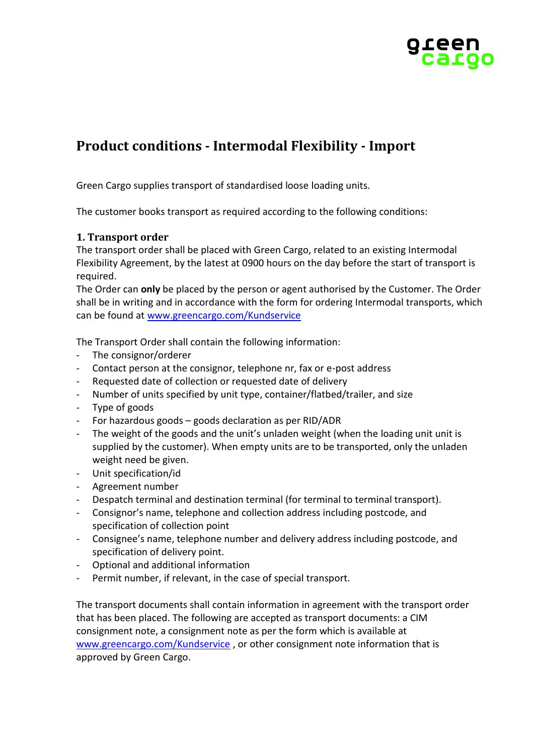

# **Product conditions - Intermodal Flexibility - Import**

Green Cargo supplies transport of standardised loose loading units.

The customer books transport as required according to the following conditions:

# **1. Transport order**

The transport order shall be placed with Green Cargo, related to an existing Intermodal Flexibility Agreement, by the latest at 0900 hours on the day before the start of transport is required.

The Order can **only** be placed by the person or agent authorised by the Customer. The Order shall be in writing and in accordance with the form for ordering Intermodal transports, which can be found at [www.greencargo.com/Kundservice](http://www.greencargo.com/Kundservice)

The Transport Order shall contain the following information:

- The consignor/orderer
- Contact person at the consignor, telephone nr, fax or e-post address
- Requested date of collection or requested date of delivery
- Number of units specified by unit type, container/flatbed/trailer, and size
- Type of goods
- For hazardous goods goods declaration as per RID/ADR
- The weight of the goods and the unit's unladen weight (when the loading unit unit is supplied by the customer). When empty units are to be transported, only the unladen weight need be given.
- Unit specification/id
- Agreement number
- Despatch terminal and destination terminal (for terminal to terminal transport).
- Consignor's name, telephone and collection address including postcode, and specification of collection point
- Consignee's name, telephone number and delivery address including postcode, and specification of delivery point.
- Optional and additional information
- Permit number, if relevant, in the case of special transport.

The transport documents shall contain information in agreement with the transport order that has been placed. The following are accepted as transport documents: a CIM consignment note, a consignment note as per the form which is available at [www.greencargo.com/Kundservice](http://www.greencargo.com/Kundservice) , or other consignment note information that is approved by Green Cargo.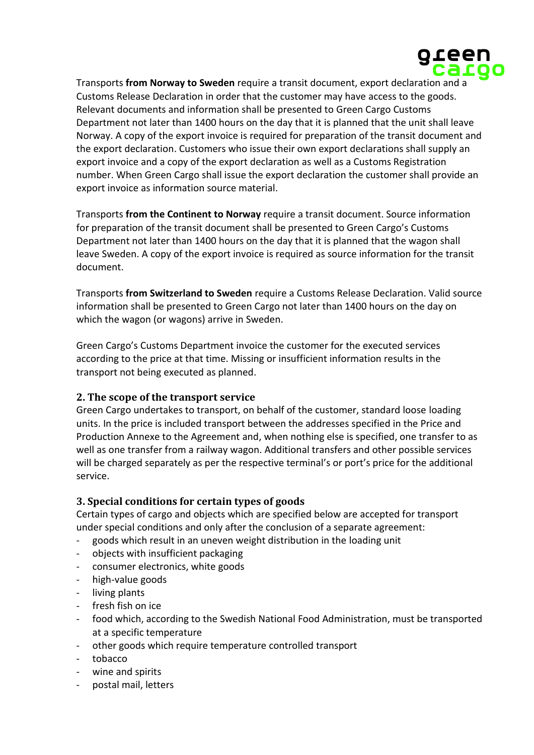

Transports **from Norway to Sweden** require a transit document, export declaration and a Customs Release Declaration in order that the customer may have access to the goods. Relevant documents and information shall be presented to Green Cargo Customs Department not later than 1400 hours on the day that it is planned that the unit shall leave Norway. A copy of the export invoice is required for preparation of the transit document and the export declaration. Customers who issue their own export declarations shall supply an export invoice and a copy of the export declaration as well as a Customs Registration number. When Green Cargo shall issue the export declaration the customer shall provide an export invoice as information source material.

Transports **from the Continent to Norway** require a transit document. Source information for preparation of the transit document shall be presented to Green Cargo's Customs Department not later than 1400 hours on the day that it is planned that the wagon shall leave Sweden. A copy of the export invoice is required as source information for the transit document.

Transports **from Switzerland to Sweden** require a Customs Release Declaration. Valid source information shall be presented to Green Cargo not later than 1400 hours on the day on which the wagon (or wagons) arrive in Sweden.

Green Cargo's Customs Department invoice the customer for the executed services according to the price at that time. Missing or insufficient information results in the transport not being executed as planned.

# **2. The scope of the transport service**

Green Cargo undertakes to transport, on behalf of the customer, standard loose loading units. In the price is included transport between the addresses specified in the Price and Production Annexe to the Agreement and, when nothing else is specified, one transfer to as well as one transfer from a railway wagon. Additional transfers and other possible services will be charged separately as per the respective terminal's or port's price for the additional service.

# **3. Special conditions for certain types of goods**

Certain types of cargo and objects which are specified below are accepted for transport under special conditions and only after the conclusion of a separate agreement:

- goods which result in an uneven weight distribution in the loading unit
- objects with insufficient packaging
- consumer electronics, white goods
- high-value goods
- living plants
- fresh fish on ice
- food which, according to the Swedish National Food Administration, must be transported at a specific temperature
- other goods which require temperature controlled transport
- tobacco
- wine and spirits
- postal mail, letters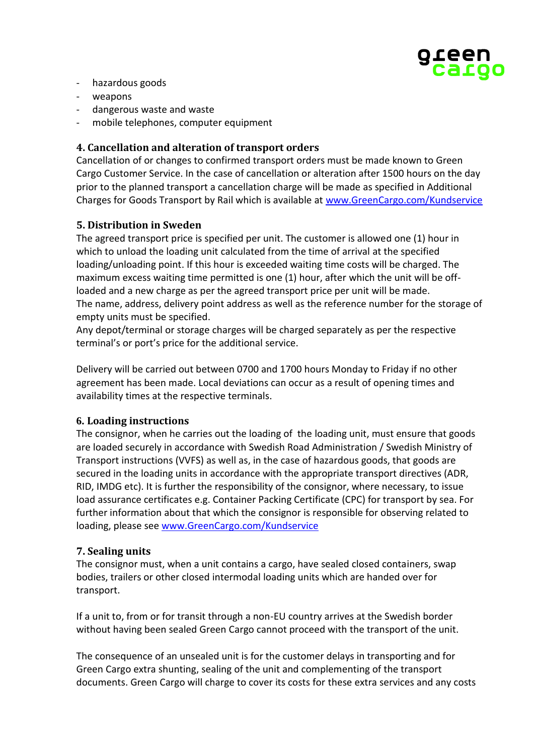

- hazardous goods
- weapons
- dangerous waste and waste
- mobile telephones, computer equipment

# **4. Cancellation and alteration of transport orders**

Cancellation of or changes to confirmed transport orders must be made known to Green Cargo Customer Service. In the case of cancellation or alteration after 1500 hours on the day prior to the planned transport a cancellation charge will be made as specified in Additional Charges for Goods Transport by Rail which is available at [www.GreenCargo.com/Kundservice](http://www.greencargo.com/Kundservice)

## **5. Distribution in Sweden**

The agreed transport price is specified per unit. The customer is allowed one (1) hour in which to unload the loading unit calculated from the time of arrival at the specified loading/unloading point. If this hour is exceeded waiting time costs will be charged. The maximum excess waiting time permitted is one (1) hour, after which the unit will be offloaded and a new charge as per the agreed transport price per unit will be made. The name, address, delivery point address as well as the reference number for the storage of empty units must be specified.

Any depot/terminal or storage charges will be charged separately as per the respective terminal's or port's price for the additional service.

Delivery will be carried out between 0700 and 1700 hours Monday to Friday if no other agreement has been made. Local deviations can occur as a result of opening times and availability times at the respective terminals.

#### **6. Loading instructions**

The consignor, when he carries out the loading of the loading unit, must ensure that goods are loaded securely in accordance with Swedish Road Administration / Swedish Ministry of Transport instructions (VVFS) as well as, in the case of hazardous goods, that goods are secured in the loading units in accordance with the appropriate transport directives (ADR, RID, IMDG etc). It is further the responsibility of the consignor, where necessary, to issue load assurance certificates e.g. Container Packing Certificate (CPC) for transport by sea. For further information about that which the consignor is responsible for observing related to loading, please see [www.GreenCargo.com/Kundservice](http://www.greencargo.com/Kundservice)

#### **7. Sealing units**

The consignor must, when a unit contains a cargo, have sealed closed containers, swap bodies, trailers or other closed intermodal loading units which are handed over for transport.

If a unit to, from or for transit through a non-EU country arrives at the Swedish border without having been sealed Green Cargo cannot proceed with the transport of the unit.

The consequence of an unsealed unit is for the customer delays in transporting and for Green Cargo extra shunting, sealing of the unit and complementing of the transport documents. Green Cargo will charge to cover its costs for these extra services and any costs